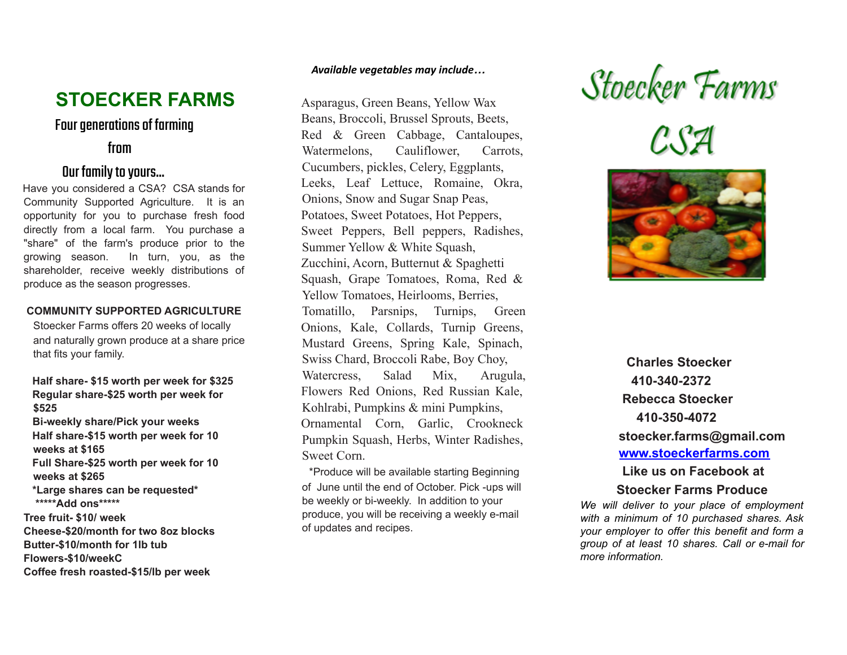# **STOECKER FARMS**

# Four generations of farming

## from

# Our family to yours...

Have you considered a CSA? CSA stands for Community Supported Agriculture. It is an opportunity for you to purchase fresh food directly from a local farm. You purchase a "share" of the farm's produce prior to the growing season. In turn, you, as the shareholder, receive weekly distributions of produce as the season progresses.

#### **COMMUNITY SUPPORTED AGRICULTURE**

Stoecker Farms offers 20 weeks of locally and naturally grown produce at a share price that fits your family.

**Half share- \$15 worth per week for \$325 Regular share-\$25 worth per week for \$525 Bi-weekly share/Pick your weeks Half share-\$15 worth per week for 10 weeks at \$165 Full Share-\$25 worth per week for 10 weeks at \$265 \*Large shares can be requested\* \*\*\*\*\*Add ons\*\*\*\*\* Tree fruit- \$10/ week**

**Cheese-\$20/month for two 8oz blocks Butter-\$10/month for 1lb tub Flowers-\$10/weekC Coffee fresh roasted-\$15/lb per week**

#### *Available vegetables may include…*

Asparagus, Green Beans, Yellow Wax Beans, Broccoli, Brussel Sprouts, Beets, Red & Green Cabbage, Cantaloupes, Watermelons, Cauliflower, Carrots, Cucumbers, pickles, Celery, Eggplants, Leeks, Leaf Lettuce, Romaine, Okra, Onions, Snow and Sugar Snap Peas, Potatoes, Sweet Potatoes, Hot Peppers, Sweet Peppers, Bell peppers, Radishes, Summer Yellow & White Squash, Zucchini, Acorn, Butternut & Spaghetti Squash, Grape Tomatoes, Roma, Red & Yellow Tomatoes, Heirlooms, Berries, Tomatillo, Parsnips, Turnips, Green Onions, Kale, Collards, Turnip Greens, Mustard Greens, Spring Kale, Spinach, Swiss Chard, Broccoli Rabe, Boy Choy, Watercress, Salad Mix, Arugula, Flowers Red Onions, Red Russian Kale, Kohlrabi, Pumpkins & mini Pumpkins, Ornamental Corn, Garlic, Crookneck Pumpkin Squash, Herbs, Winter Radishes, Sweet Corn.

\*Produce will be available starting Beginning of June until the end of October. Pick -ups will be weekly or bi-weekly. In addition to your produce, you will be receiving a weekly e-mail of updates and recipes.

Stoecker Farms<br>C.S4





**Charles Stoecker 410-340-2372 Rebecca Stoecker 410-350-4072 stoecker.farms@gmail.com [www.stoeckerfarms.com](http://www.stoeckerfarms.com/) Like us on Facebook at**

#### **Stoecker Farms Produce**

*We will deliver to your place of employment with a minimum of 10 purchased shares. Ask your employer to offer this benefit and form a group of at least 10 shares. Call or e-mail for more information.*